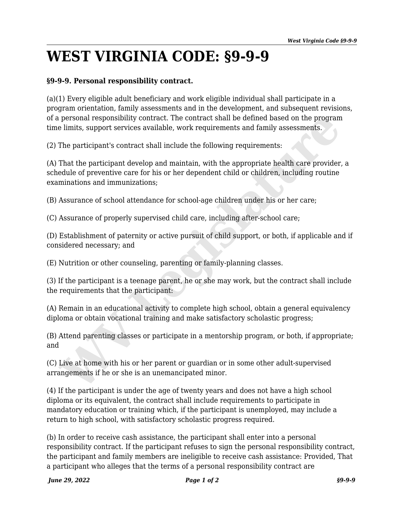## **WEST VIRGINIA CODE: §9-9-9**

## **§9-9-9. Personal responsibility contract.**

(a)(1) Every eligible adult beneficiary and work eligible individual shall participate in a program orientation, family assessments and in the development, and subsequent revisions, of a personal responsibility contract. The contract shall be defined based on the program time limits, support services available, work requirements and family assessments.

(2) The participant's contract shall include the following requirements:

(A) That the participant develop and maintain, with the appropriate health care provider, a schedule of preventive care for his or her dependent child or children, including routine examinations and immunizations; personal responsibility contract. The contract shall be defined based on the program<br>e limits, support services available, work requirements and family assessments.<br>The participant's contract shall include the following re

(B) Assurance of school attendance for school-age children under his or her care;

(C) Assurance of properly supervised child care, including after-school care;

(D) Establishment of paternity or active pursuit of child support, or both, if applicable and if considered necessary; and

(E) Nutrition or other counseling, parenting or family-planning classes.

(3) If the participant is a teenage parent, he or she may work, but the contract shall include the requirements that the participant:

(A) Remain in an educational activity to complete high school, obtain a general equivalency diploma or obtain vocational training and make satisfactory scholastic progress;

(B) Attend parenting classes or participate in a mentorship program, or both, if appropriate; and

(C) Live at home with his or her parent or guardian or in some other adult-supervised arrangements if he or she is an unemancipated minor.

(4) If the participant is under the age of twenty years and does not have a high school diploma or its equivalent, the contract shall include requirements to participate in mandatory education or training which, if the participant is unemployed, may include a return to high school, with satisfactory scholastic progress required.

(b) In order to receive cash assistance, the participant shall enter into a personal responsibility contract. If the participant refuses to sign the personal responsibility contract, the participant and family members are ineligible to receive cash assistance: Provided, That a participant who alleges that the terms of a personal responsibility contract are